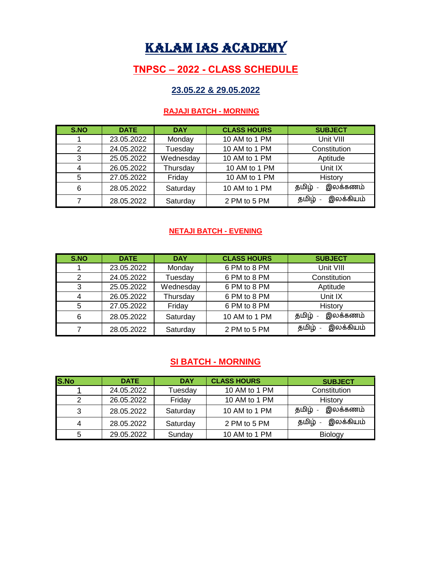# KALAM IAS ACADEMY

# **TNPSC – 2022 - CLASS SCHEDULE**

## **23.05.22 & 29.05.2022**

#### **RAJAJI BATCH - MORNING**

| S.NO | <b>DATE</b> | <b>DAY</b> | <b>CLASS HOURS</b> | <b>SUBJECT</b>     |
|------|-------------|------------|--------------------|--------------------|
|      | 23.05.2022  | Monday     | 10 AM to 1 PM      | Unit VIII          |
| 2    | 24.05.2022  | Tuesday    | 10 AM to 1 PM      | Constitution       |
| 3    | 25.05.2022  | Wednesday  | 10 AM to 1 PM      | Aptitude           |
| 4    | 26.05.2022  | Thursday   | 10 AM to 1 PM      | Unit IX            |
| 5    | 27.05.2022  | Friday     | 10 AM to 1 PM      | History            |
| 6    | 28.05.2022  | Saturday   | 10 AM to 1 PM      | இலக்கணம்<br>தமிழ்  |
|      | 28.05.2022  | Saturday   | 2 PM to 5 PM       | இலக்கியம்<br>தமிழ் |

#### **NETAJI BATCH - EVENING**

| S.NO | <b>DATE</b> | <b>DAY</b> | <b>CLASS HOURS</b> | <b>SUBJECT</b>     |
|------|-------------|------------|--------------------|--------------------|
|      | 23.05.2022  | Monday     | 6 PM to 8 PM       | Unit VIII          |
| 2    | 24.05.2022  | Tuesday    | 6 PM to 8 PM       | Constitution       |
| 3    | 25.05.2022  | Wednesday  | 6 PM to 8 PM       | Aptitude           |
|      | 26.05.2022  | Thursday   | 6 PM to 8 PM       | Unit IX            |
| 5    | 27.05.2022  | Friday     | 6 PM to 8 PM       | History            |
| 6    | 28.05.2022  | Saturday   | 10 AM to 1 PM      | இலக்கணம்<br>தமிழ்  |
|      | 28.05.2022  | Saturday   | 2 PM to 5 PM       | இலக்கியம்<br>தமிழ் |

## **SI BATCH - MORNING**

| <b>S.No</b> | <b>DATE</b> | <b>DAY</b> | <b>CLASS HOURS</b> | <b>SUBJECT</b>     |
|-------------|-------------|------------|--------------------|--------------------|
|             | 24.05.2022  | Tuesday    | 10 AM to 1 PM      | Constitution       |
|             | 26.05.2022  | Friday     | 10 AM to 1 PM      | History            |
| 3           | 28.05.2022  | Saturday   | 10 AM to 1 PM      | இலக்கணம்<br>தமிழ்  |
|             | 28.05.2022  | Saturday   | 2 PM to 5 PM       | இலக்கியம்<br>தமிழ் |
|             | 29.05.2022  | Sunday     | 10 AM to 1 PM      | <b>Biology</b>     |